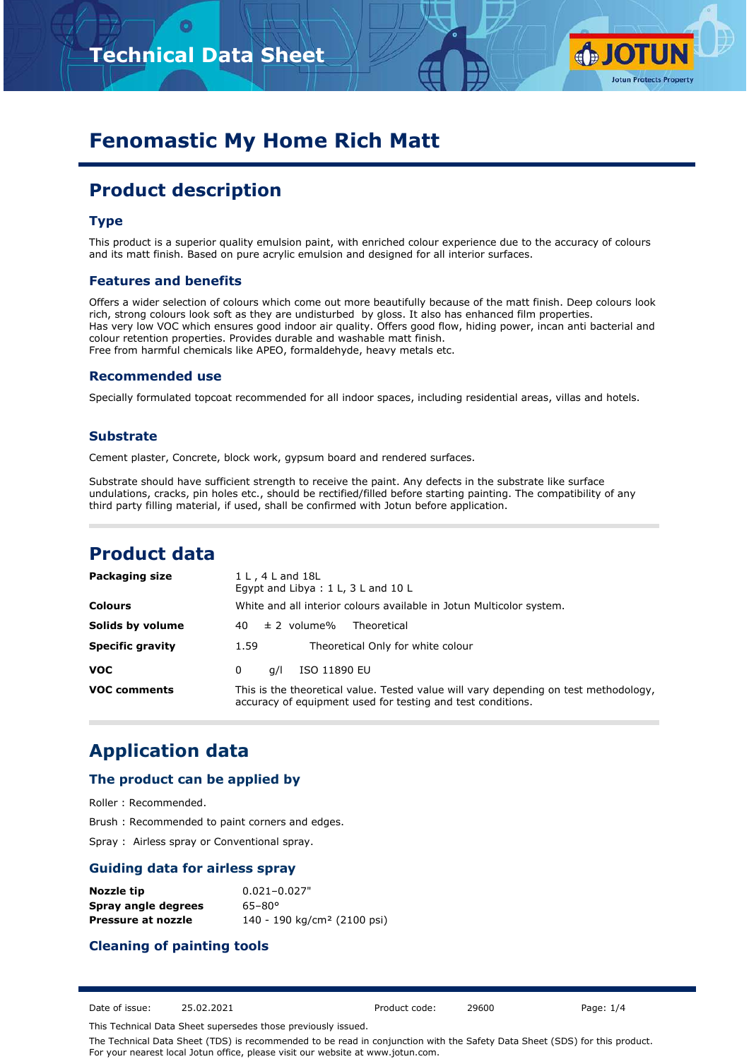

# **Fenomastic My Home Rich Matt**

## **Product description**

### **Type**

This product is a superior quality emulsion paint, with enriched colour experience due to the accuracy of colours and its matt finish. Based on pure acrylic emulsion and designed for all interior surfaces.

#### **Features and benefits**

Offers a wider selection of colours which come out more beautifully because of the matt finish. Deep colours look rich, strong colours look soft as they are undisturbed by gloss. It also has enhanced film properties. Has very low VOC which ensures good indoor air quality. Offers good flow, hiding power, incan anti bacterial and colour retention properties. Provides durable and washable matt finish. Free from harmful chemicals like APEO, formaldehyde, heavy metals etc.

#### **Recommended use**

Specially formulated topcoat recommended for all indoor spaces, including residential areas, villas and hotels.

#### **Substrate**

Cement plaster, Concrete, block work, gypsum board and rendered surfaces.

Substrate should have sufficient strength to receive the paint. Any defects in the substrate like surface undulations, cracks, pin holes etc., should be rectified/filled before starting painting. The compatibility of any third party filling material, if used, shall be confirmed with Jotun before application.

## **Product data**

| <b>Packaging size</b>   | 1 L, 4 L and 18L<br>Eqypt and Libya : $1 L$ , $3 L$ and $10 L$                                                                                      |
|-------------------------|-----------------------------------------------------------------------------------------------------------------------------------------------------|
| <b>Colours</b>          | White and all interior colours available in Jotun Multicolor system.                                                                                |
| Solids by volume        | $\pm$ 2 volume%<br>Theoretical<br>40                                                                                                                |
| <b>Specific gravity</b> | Theoretical Only for white colour<br>1.59                                                                                                           |
| <b>VOC</b>              | ISO 11890 EU<br>a/l<br>0                                                                                                                            |
| <b>VOC comments</b>     | This is the theoretical value. Tested value will vary depending on test methodology,<br>accuracy of equipment used for testing and test conditions. |

### **Application data**

### **The product can be applied by**

Roller : Recommended.

Brush : Recommended to paint corners and edges.

Spray : Airless spray or Conventional spray.

### **Guiding data for airless spray**

| Nozzle tip          | $0.021 - 0.027"$                        |
|---------------------|-----------------------------------------|
| Spray angle degrees | $65 - 80^{\circ}$                       |
| Pressure at nozzle  | 140 - 190 kg/cm <sup>2</sup> (2100 psi) |

### **Cleaning of painting tools**

Date of issue: 25.02.2021 Product code: 29600 Page: 1/4

This Technical Data Sheet supersedes those previously issued.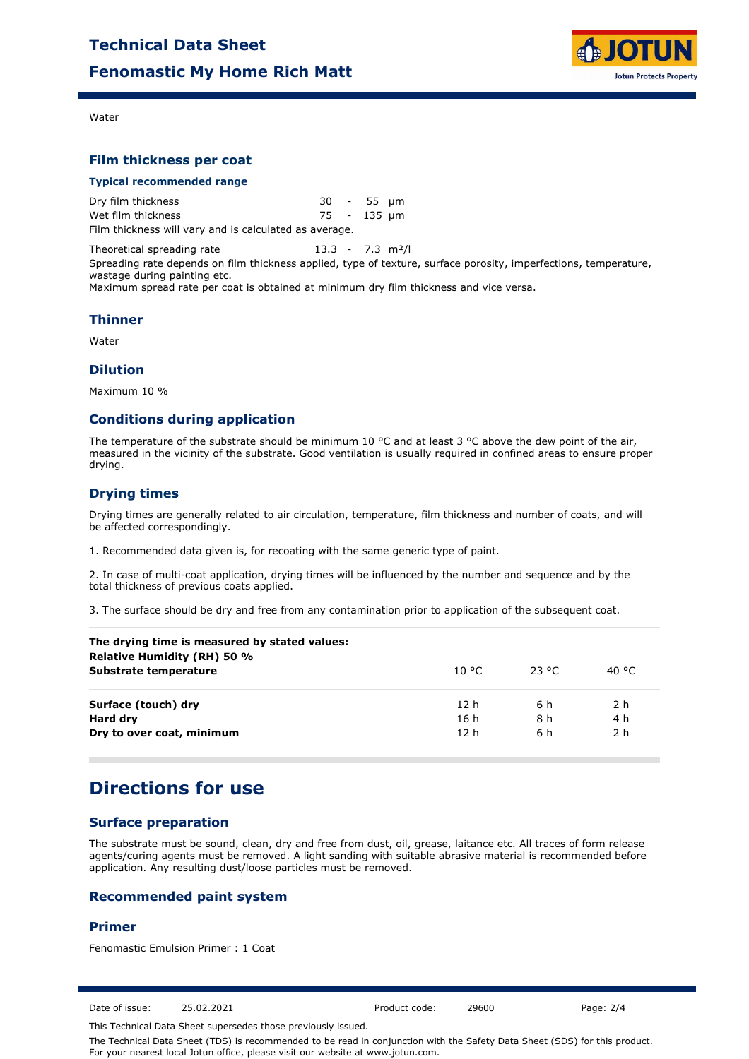

Water

### **Film thickness per coat**

#### **Typical recommended range**

| Dry film thickness                                     |             | 30 - 55 um |  |
|--------------------------------------------------------|-------------|------------|--|
| Wet film thickness                                     | 75 - 135 um |            |  |
| Film thickness will vary and is calculated as average. |             |            |  |

Theoretical spreading rate 13.3 - 7.3 m<sup>2</sup>/l

Spreading rate depends on film thickness applied, type of texture, surface porosity, imperfections, temperature, wastage during painting etc.

Maximum spread rate per coat is obtained at minimum dry film thickness and vice versa.

#### **Thinner**

Water

#### **Dilution**

Maximum 10 %

### **Conditions during application**

The temperature of the substrate should be minimum 10  $^{\circ}$ C and at least 3  $^{\circ}$ C above the dew point of the air, measured in the vicinity of the substrate. Good ventilation is usually required in confined areas to ensure proper drying.

### **Drying times**

Drying times are generally related to air circulation, temperature, film thickness and number of coats, and will be affected correspondingly.

1. Recommended data given is, for recoating with the same generic type of paint.

2. In case of multi-coat application, drying times will be influenced by the number and sequence and by the total thickness of previous coats applied.

3. The surface should be dry and free from any contamination prior to application of the subsequent coat.

| 10 °C. | -23 °C | 40 °C          |
|--------|--------|----------------|
| 12 h   | 6 h    | 2 h            |
| 16h    | 8 h    | 4 h            |
| 12 h   | 6 h    | 2 <sub>h</sub> |
|        |        |                |

### **Directions for use**

### **Surface preparation**

The substrate must be sound, clean, dry and free from dust, oil, grease, laitance etc. All traces of form release agents/curing agents must be removed. A light sanding with suitable abrasive material is recommended before application. Any resulting dust/loose particles must be removed.

### **Recommended paint system**

#### **Primer**

Fenomastic Emulsion Primer : 1 Coat

Date of issue: 25.02.2021 Product code: 29600 Page: 2/4

This Technical Data Sheet supersedes those previously issued.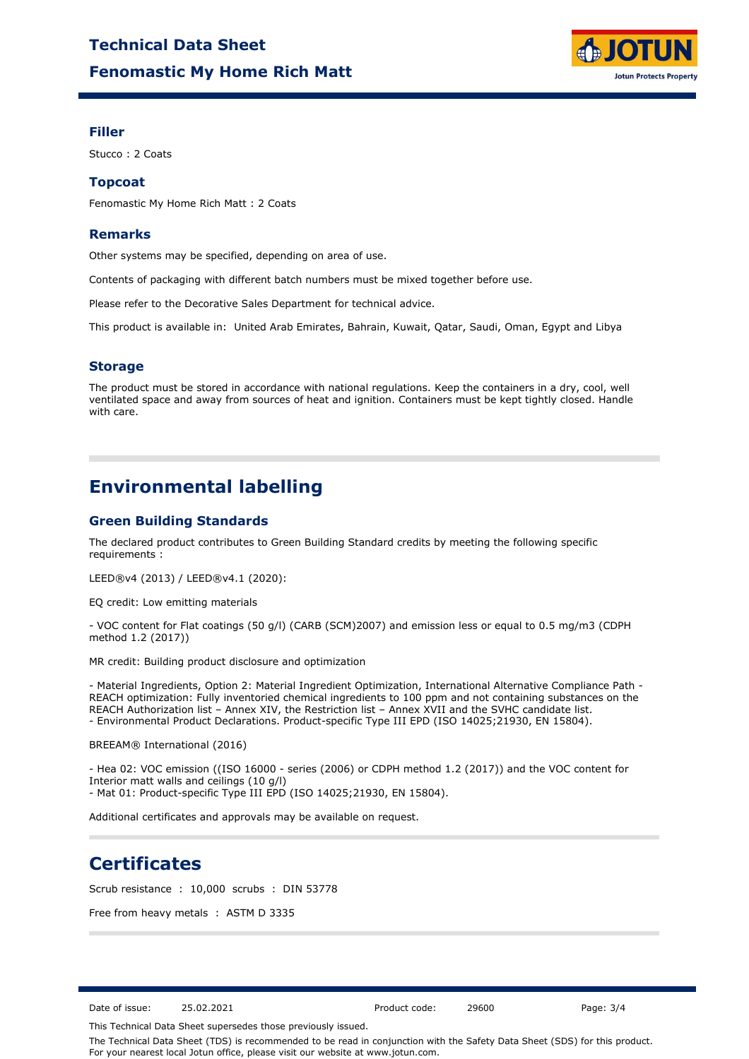## **Fenomastic My Home Rich Matt Technical Data Sheet**



### **Filler**

Stucco : 2 Coats

### **Topcoat**

Fenomastic My Home Rich Matt : 2 Coats

### **Remarks**

Other systems may be specified, depending on area of use.

Contents of packaging with different batch numbers must be mixed together before use.

Please refer to the Decorative Sales Department for technical advice.

This product is available in: United Arab Emirates, Bahrain, Kuwait, Qatar, Saudi, Oman, Egypt and Libya

### **Storage**

The product must be stored in accordance with national regulations. Keep the containers in a dry, cool, well ventilated space and away from sources of heat and ignition. Containers must be kept tightly closed. Handle with care.

## **Environmental labelling**

### **Green Building Standards**

The declared product contributes to Green Building Standard credits by meeting the following specific requirements :

LEED®v4 (2013) / LEED®v4.1 (2020):

EQ credit: Low emitting materials

- VOC content for Flat coatings (50 g/l) (CARB (SCM)2007) and emission less or equal to 0.5 mg/m3 (CDPH method 1.2 (2017))

MR credit: Building product disclosure and optimization

- Material Ingredients, Option 2: Material Ingredient Optimization, International Alternative Compliance Path - REACH optimization: Fully inventoried chemical ingredients to 100 ppm and not containing substances on the REACH Authorization list – Annex XIV, the Restriction list – Annex XVII and the SVHC candidate list. - Environmental Product Declarations. Product-specific Type III EPD (ISO 14025;21930, EN 15804).

BREEAM® International (2016)

- Hea 02: VOC emission ((ISO 16000 - series (2006) or CDPH method 1.2 (2017)) and the VOC content for Interior matt walls and ceilings (10 g/l) - Mat 01: Product-specific Type III EPD (ISO 14025;21930, EN 15804).

Additional certificates and approvals may be available on request.

### **Certificates**

Scrub resistance : 10,000 scrubs : DIN 53778

Free from heavy metals : ASTM D 3335

Date of issue: 25.02.2021 Product code: 29600 Page: 3/4

This Technical Data Sheet supersedes those previously issued.